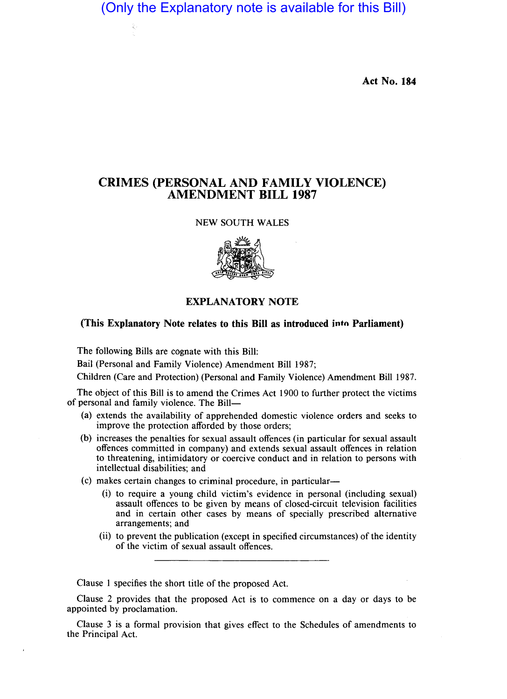(Only the Explanatory note is available for this Bill)

**Act No. 184** 

# **CRIMES (PERSONAL AND FAMILY VIOLENCE) AMENDMENT BILL 1987**

## NEW SOUTH WALES



# **EXPLANATORY NOTE**

#### **(This Explanatory Note relates to this Bill as introduced into Parliament)**

The following Bills are cognate with this Bill:

Bail (Personal and Family Violence) Amendment Bill 1987;

Children (Care and Protection) (Personal and Family Violence) Amendment Bill 1987.

The object of this Bill is to amend the Crimes Act 1900 to further protect the victims of personal and family violence. The Bill-

- (a) extends the availability of apprehended domestic violence orders and seeks to improve the protection afforded by those orders;
- (b) increases the penalties for sexual assault offences (in particular for sexual assault offences committed in company) and extends sexual assault offences in relation to threatening, intimidatory or coercive conduct and in relation to persons with intellectual disabilities; and
- (c) makes certain changes to criminal procedure, in particular-
	- (i) to require a young child victim's evidence in personal (including sexual) assault offences to be given by means of closed-circuit television facilities and in certain other cases by means of specially prescribed alternative arrangements; and
	- (ii) to prevent the publication (except in specified circumstances) of the identity of the victim of sexual assault offences.

Clause 1 specifies the short title of the proposed Act.

Clause 2 provides that the proposed Act is to commence on a day or days to be appointed by proclamation.

Clause 3 is a formal provision that gives effect to the Schedules of amendments to the Principal Act.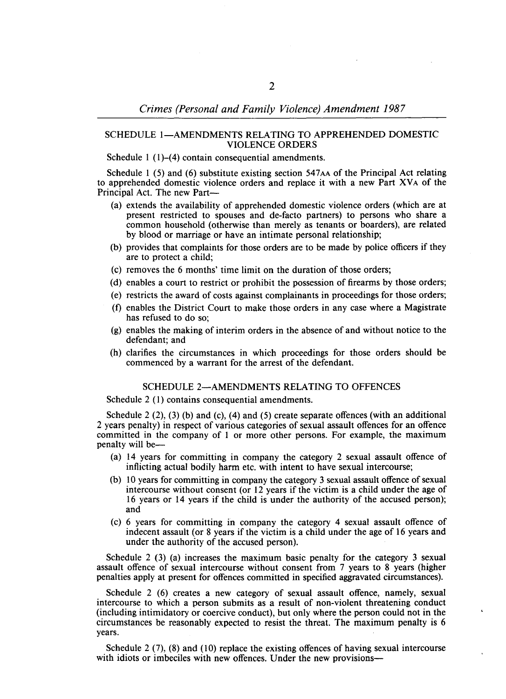### SCHEDULE 1-AMENDMENTS RELATING TO APPREHENDED DOMESTIC VIOLENCE ORDERS

Schedule 1 (1)–(4) contain consequential amendments.

Schedule 1 (5) and (6) substitute existing section  $547AA$  of the Principal Act relating to apprehended domestic violence orders and replace it with a new Part XVA of the Principal Act. The new Part-

- (a) extends the availability of apprehended domestic violence orders (which are at present restricted to spouses and de-facto partners) to persons who share a common household (otherwise than merely as tenants or boarders), are related by blood or marriage or have an intimate personal relationship;
- (b) provides that complaints for those orders are to be made by police officers if they are to protect a child;
- (c) removes the 6 months' time limit on the duration of those orders;
- (d) enables a court to restrict or prohibit the possession of firearms by those orders;
- (e) restricts the award of costs against complainants in proceedings for those orders;
- (f) enables the District Court to make those orders in any case where a Magistrate has refused to do so;
- (g) enables the making of interim orders in the absence of and without notice to the defendant; and
- (h) clarifies the circumstances in which proceedings for those orders should be commenced by a warrant for the arrest of the defendant.

#### SCHEDULE 2-AMENDMENTS RELATING TO OFFENCES

Schedule 2 (1) contains consequential amendments.

Schedule  $2(2)$ ,  $(3)$  (b) and  $(c)$ ,  $(4)$  and  $(5)$  create separate offences (with an additional 2 years penalty) in respect of various categories of sexual assault offences for an offence committed in the company of 1 or more other persons. For example, the maximum penalty will be-

- (a) 14 years for committing in company the category 2 sexual assault offence of inflicting actual bodily harm etc. with intent to have sexual intercourse;
- (b) 10 years for committing in company the category 3 sexual assault offence of sexual intercourse without consent (or 12 years if the victim is a child under the age of 16 years or 14 years if the child is under the authority of the accused person); and
- (c) 6 years for committing in company the category 4 sexual assault offence of indecent assault (or 8 years if the victim is a child under the age of 16 years and under the authority of the accused person).

Schedule 2 (3) (a) increases the maximum basic penalty for the category 3 sexual assault offence of sexual intercourse without consent from 7 years to 8 years (higher penalties apply at present for offences committed in specified aggravated circumstances).

Schedule 2 (6) creates a new category of sexual assault offence, namely, sexual intercourse to which a person submits as a result of non-violent threatening conduct (including intimidatory or coercive conduct), but only where the person could not in the circumstances be reasonably expected to resist the threat. The maximum penalty is 6 years.

Schedule 2 (7), (8) and (10) replace the existing offences of having sexual intercourse with idiots or imbeciles with new offences. Under the new provisions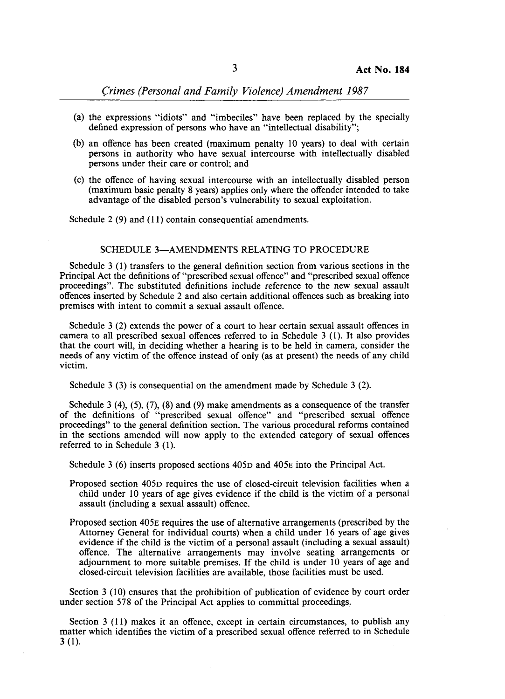Crimes (Personal and Family Violence) Amendment 1987

- (a) the expressions "idiots" and "imbeciles" have been replaced by the specially defined expression of persons who have an "intellectual disability";
- (b) an offence has been created (maximum penalty 10 years) to deal with certain persons in authority who have sexual intercourse with intellectually disabled persons under their care or control; and
- (c) the offence of having sexual intercourse with an intellectually disabled person (maximum basic penalty 8 years) applies only where the offender intended to take advantage of the disabled person's vulnerability to sexual exploitation.

Schedule 2 (9) and (11) contain consequential amendments.

#### SCHEDULE 3-AMENDMENTS RELATING TO PROCEDURE

Schedule 3 (1) transfers to the general definition section from various sections in the Principal Act the definitions of "prescribed sexual offence" and "prescribed sexual offence proceedings". The substituted definitions include reference to the new sexual assault offences inserted by Schedule 2 and also certain additional offences such as breaking into premises with intent to commit a sexual assault offence.

Schedule 3 (2) extends the power of a court to hear certain sexual assault offences in camera to all prescribed sexual offences referred to in Schedule 3 (l). It also provides that the court will, in deciding whether a hearing is to be held in camera, consider the needs of any victim of the offence instead of only (as at present) the needs of any child victim.

Schedule 3 (3) is consequential on the amendment made by Schedule 3 (2).

Schedule 3 (4),  $(5)$ ,  $(7)$ ,  $(8)$  and  $(9)$  make amendments as a consequence of the transfer of the definitions of "prescribed sexual offence" and "prescribed sexual offence proceedings" to the general definition section. The various procedural reforms contained in the sections amended will now apply to the extended category of sexual offences referred to in Schedule 3 (1).

Schedule 3 (6) inserts proposed sections 405D and 405E into the Principal Act.

- Proposed section 405D requires the use of closed-circuit television facilities when a child under 10 years of age gives evidence if the child is the victim of a personal assault (including a sexual assault) offence.
- Proposed section 405E requires the use of alternative arrangements (prescribed by the Attorney General for individual courts) when a child under 16 years of age gives evidence if the child is the victim of a personal assault (including a sexual assault) offence. The alternative arrangements may involve seating arrangements or adjournment to more suitable premises. If the child is under 10 years of age and closed-circuit television facilities are available, those facilities must be used.

Section 3 (10) ensures that the prohibition of publication of evidence by court order under section 578 of the Principal Act applies to committal proceedings.

Section 3 (11) makes it an offence, except in certain circumstances, to publish any matter which identifies the victim of a prescribed sexual offence referred to in Schedule 3 (1).